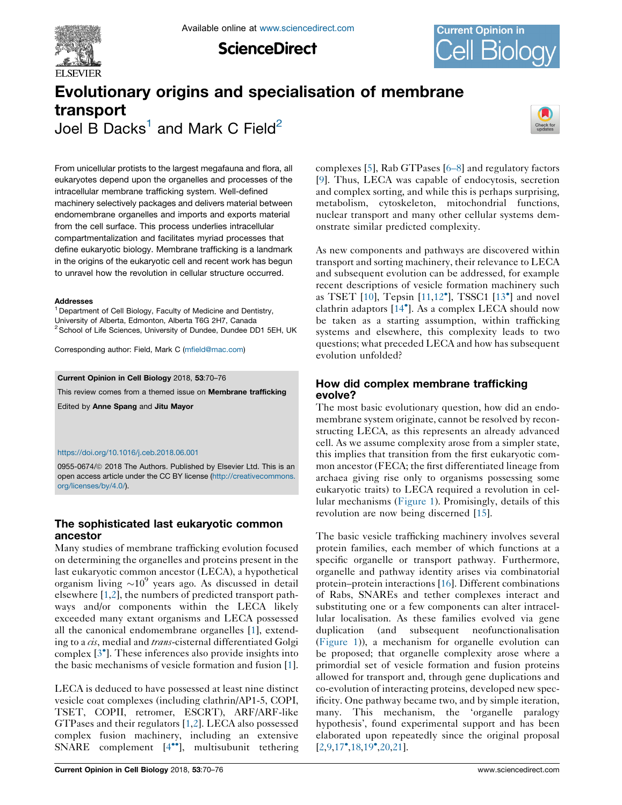

**ScienceDirect** 



# Evolutionary origins and specialisation of membrane transport Joel B Dacks<sup>1</sup> and Mark C Field<sup>2</sup>



From unicellular protists to the largest megafauna and flora, all eukaryotes depend upon the organelles and processes of the intracellular membrane trafficking system. Well-defined machinery selectively packages and delivers material between endomembrane organelles and imports and exports material from the cell surface. This process underlies intracellular compartmentalization and facilitates myriad processes that define eukaryotic biology. Membrane trafficking is a landmark in the origins of the eukaryotic cell and recent work has begun to unravel how the revolution in cellular structure occurred.

#### **Addresses**

<sup>1</sup> Department of Cell Biology, Faculty of Medicine and Dentistry, University of Alberta, Edmonton, Alberta T6G 2H7, Canada

<sup>2</sup> School of Life Sciences, University of Dundee, Dundee DD1 5EH, UK

Corresponding author: Field, Mark C [\(mfield@mac.com\)](mailto:mfield@mac.com)

#### Current Opinion in Cell Biology 2018, 53:70–76

This review comes from a themed issue on Membrane trafficking

Edited by Anne Spang and Jitu Mayor

#### <https://doi.org/10.1016/j.ceb.2018.06.001>

0955-0674/@ 2018 The Authors. Published by Elsevier Ltd. This is an open access article under the CC BY license [\(http://creativecommons.](http://creativecommons.org/licenses/by/4.0/) [org/licenses/by/4.0/](http://creativecommons.org/licenses/by/4.0/)).

# The sophisticated last eukaryotic common ancestor

Many studies of membrane trafficking evolution focused on determining the organelles and proteins present in the last eukaryotic common ancestor (LECA), a hypothetical organism living  $\sim 10^9$  years ago. As discussed in detail elsewhere [\[1](#page-4-0),[2\]](#page-4-0), the numbers of predicted transport pathways and/or components within the LECA likely exceeded many extant organisms and LECA possessed all the canonical endomembrane organelles [\[1](#page-4-0)], extending to a *cis*, medial and *trans*-cisternal differentiated Golgi complex [3 ]. These [inferences](#page-4-0) also provide insights into the basic mechanisms of vesicle formation and fusion [\[1](#page-4-0)].

LECA is deduced to have possessed at least nine distinct vesicle coat complexes (including clathrin/AP1-5, COPI, TSET, COPII, retromer, ESCRT), ARF/ARF-like GTPases and their regulators [[1,2](#page-4-0)]. LECA also possessed complex fusion machinery, including an extensive  $SNARE$  complement  $[4^{\bullet\bullet}]$ , [multisubunit](#page-4-0) tethering complexes [[5\]](#page-4-0), Rab GTPases [[6–8\]](#page-4-0) and regulatory factors [\[9](#page-5-0)]. Thus, LECA was capable of endocytosis, secretion and complex sorting, and while this is perhaps surprising, metabolism, cytoskeleton, mitochondrial functions, nuclear transport and many other cellular systems demonstrate similar predicted complexity.

As new components and pathways are discovered within transport and sorting machinery, their relevance to LECA and subsequent evolution can be addressed, for example recent descriptions of vesicle formation machinery such as TSET [\[10](#page-5-0)], Tepsin [[11,](#page-5-0)12<sup>\*</sup>], [TSSC1](#page-5-0) [13<sup>\*</sup>] and [novel](#page-5-0) clathrin adaptors [14 ]. As a [complex](#page-5-0) LECA should now be taken as a starting assumption, within trafficking systems and elsewhere, this complexity leads to two questions; what preceded LECA and how has subsequent evolution unfolded?

# How did complex membrane trafficking evolve?

The most basic evolutionary question, how did an endomembrane system originate, cannot be resolved by reconstructing LECA, as this represents an already advanced cell. As we assume complexity arose from a simpler state, this implies that transition from the first eukaryotic common ancestor (FECA; the first differentiated lineage from archaea giving rise only to organisms possessing some eukaryotic traits) to LECA required a revolution in cellular mechanisms ([Figure](#page-1-0) 1). Promisingly, details of this revolution are now being discerned [[15\]](#page-5-0).

The basic vesicle trafficking machinery involves several protein families, each member of which functions at a specific organelle or transport pathway. Furthermore, organelle and pathway identity arises via combinatorial protein–protein interactions [\[16](#page-5-0)]. Different combinations of Rabs, SNAREs and tether complexes interact and substituting one or a few components can alter intracellular localisation. As these families evolved via gene duplication (and subsequent neofunctionalisation [\(Figure](#page-1-0) 1)), a mechanism for organelle evolution can be proposed; that organelle complexity arose where a primordial set of vesicle formation and fusion proteins allowed for transport and, through gene duplications and co-evolution of interacting proteins, developed new specificity. One pathway became two, and by simple iteration, many. This mechanism, the 'organelle paralogy hypothesis', found experimental support and has been elaborated upon repeatedly since the original proposal  $[2,9,17^{\bullet},18,19^{\bullet},20,21]$  $[2,9,17^{\bullet},18,19^{\bullet},20,21]$  $[2,9,17^{\bullet},18,19^{\bullet},20,21]$  $[2,9,17^{\bullet},18,19^{\bullet},20,21]$  $[2,9,17^{\bullet},18,19^{\bullet},20,21]$  $[2,9,17^{\bullet},18,19^{\bullet},20,21]$  $[2,9,17^{\bullet},18,19^{\bullet},20,21]$  $[2,9,17^{\bullet},18,19^{\bullet},20,21]$  $[2,9,17^{\bullet},18,19^{\bullet},20,21]$ .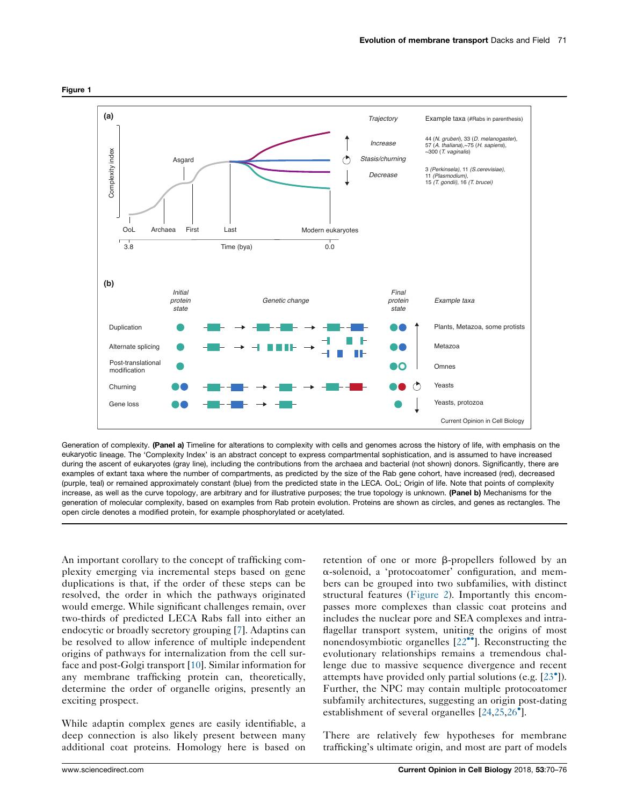<span id="page-1-0"></span>

Generation of complexity. (Panel a) Timeline for alterations to complexity with cells and genomes across the history of life, with emphasis on the eukaryotic lineage. The 'Complexity Index' is an abstract concept to express compartmental sophistication, and is assumed to have increased during the ascent of eukaryotes (gray line), including the contributions from the archaea and bacterial (not shown) donors. Significantly, there are examples of extant taxa where the number of compartments, as predicted by the size of the Rab gene cohort, have increased (red), decreased (purple, teal) or remained approximately constant (blue) from the predicted state in the LECA. OoL; Origin of life. Note that points of complexity increase, as well as the curve topology, are arbitrary and for illustrative purposes; the true topology is unknown. (Panel b) Mechanisms for the generation of molecular complexity, based on examples from Rab protein evolution. Proteins are shown as circles, and genes as rectangles. The open circle denotes a modified protein, for example phosphorylated or acetylated.

An important corollary to the concept of trafficking complexity emerging via incremental steps based on gene duplications is that, if the order of these steps can be resolved, the order in which the pathways originated would emerge. While significant challenges remain, over two-thirds of predicted LECA Rabs fall into either an endocytic or broadly secretory grouping [\[7](#page-5-0)]. Adaptins can be resolved to allow inference of multiple independent origins of pathways for internalization from the cell surface and post-Golgi transport [[10\]](#page-5-0). Similar information for any membrane trafficking protein can, theoretically, determine the order of organelle origins, presently an exciting prospect.

While adaptin complex genes are easily identifiable, a deep connection is also likely present between many additional coat proteins. Homology here is based on

retention of one or more  $\beta$ -propellers followed by an a-solenoid, a 'protocoatomer' configuration, and members can be grouped into two subfamilies, with distinct structural features [\(Figure](#page-2-0) 2). Importantly this encompasses more complexes than classic coat proteins and includes the nuclear pore and SEA complexes and intraflagellar transport system, uniting the origins of most nonendosymbiotic organelles  $[22^{\bullet\bullet}]$ . [Reconstructing](#page-5-0) the evolutionary relationships remains a tremendous challenge due to massive sequence divergence and recent attempts have provided only partial solutions (e.g. [[23](#page-5-0) ]). Further, the NPC may contain multiple protocoatomer subfamily architectures, suggesting an origin post-dating establishment of several organelles [[24,25](#page-5-0),[26](#page-5-0) ].

There are relatively few hypotheses for membrane trafficking's ultimate origin, and most are part of models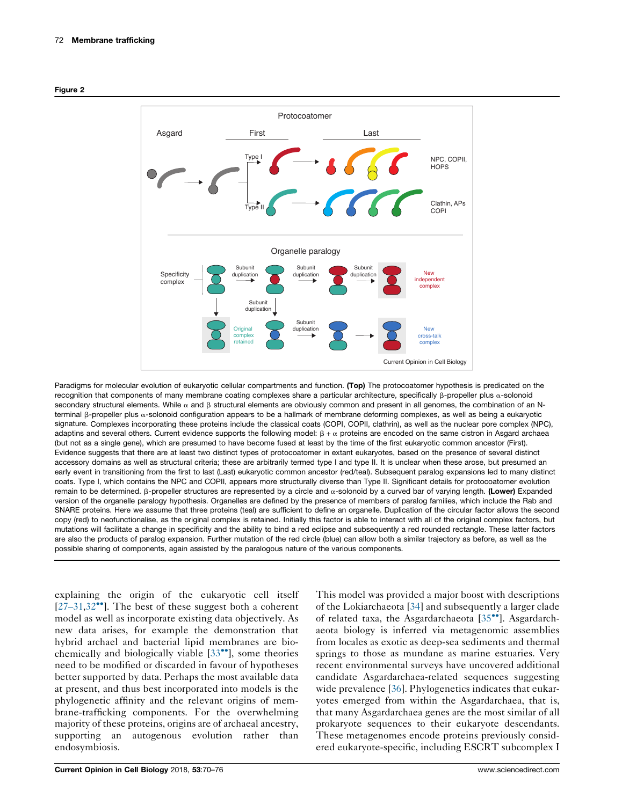<span id="page-2-0"></span>



Paradigms for molecular evolution of eukaryotic cellular compartments and function. (Top) The protocoatomer hypothesis is predicated on the recognition that components of many membrane coating complexes share a particular architecture, specifically  $\beta$ -propeller plus  $\alpha$ -solonoid secondary structural elements. While  $\alpha$  and  $\beta$  structural elements are obviously common and present in all genomes, the combination of an Nterminal  $\beta$ -propeller plus  $\alpha$ -solonoid configuration appears to be a hallmark of membrane deforming complexes, as well as being a eukaryotic signature. Complexes incorporating these proteins include the classical coats (COPI, COPII, clathrin), as well as the nuclear pore complex (NPC), adaptins and several others. Current evidence supports the following model:  $\beta + \alpha$  proteins are encoded on the same cistron in Asgard archaea (but not as a single gene), which are presumed to have become fused at least by the time of the first eukaryotic common ancestor (First). Evidence suggests that there are at least two distinct types of protocoatomer in extant eukaryotes, based on the presence of several distinct accessory domains as well as structural criteria; these are arbitrarily termed type I and type II. It is unclear when these arose, but presumed an early event in transitioning from the first to last (Last) eukaryotic common ancestor (red/teal). Subsequent paralog expansions led to many distinct coats. Type I, which contains the NPC and COPII, appears more structurally diverse than Type II. Significant details for protocoatomer evolution remain to be determined.  $\beta$ -propeller structures are represented by a circle and  $\alpha$ -solonoid by a curved bar of varying length. (Lower) Expanded version of the organelle paralogy hypothesis. Organelles are defined by the presence of members of paralog families, which include the Rab and SNARE proteins. Here we assume that three proteins (teal) are sufficient to define an organelle. Duplication of the circular factor allows the second copy (red) to neofunctionalise, as the original complex is retained. Initially this factor is able to interact with all of the original complex factors, but mutations will facilitate a change in specificity and the ability to bind a red eclipse and subsequently a red rounded rectangle. These latter factors are also the products of paralog expansion. Further mutation of the red circle (blue) can allow both a similar trajectory as before, as well as the possible sharing of components, again assisted by the paralogous nature of the various components.

explaining the origin of the eukaryotic cell itself  $[27-31,32$ <sup>\*\*</sup>]. The best of these suggest both a [coherent](#page-5-0) model as well as incorporate existing data objectively. As new data arises, for example the demonstration that hybrid archael and bacterial lipid membranes are biochemically and biologically viable  $[33\bullet]$ , some [theories](#page-5-0) need to be modified or discarded in favour of hypotheses better supported by data. Perhaps the most available data at present, and thus best incorporated into models is the phylogenetic affinity and the relevant origins of membrane-trafficking components. For the overwhelming majority of these proteins, origins are of archaeal ancestry, supporting an autogenous evolution rather than endosymbiosis.

This model was provided a major boost with descriptions of the Lokiarchaeota [\[34\]](#page-6-0) and subsequently a larger clade of related taxa, the Asgardarchaeota [35<sup>••</sup>]. [Asgardarch](#page-6-0)aeota biology is inferred via metagenomic assemblies from locales as exotic as deep-sea sediments and thermal springs to those as mundane as marine estuaries. Very recent environmental surveys have uncovered additional candidate Asgardarchaea-related sequences suggesting wide prevalence [[36](#page-6-0)]. Phylogenetics indicates that eukaryotes emerged from within the Asgardarchaea, that is, that many Asgardarchaea genes are the most similar of all prokaryote sequences to their eukaryote descendants. These metagenomes encode proteins previously considered eukaryote-specific, including ESCRT subcomplex I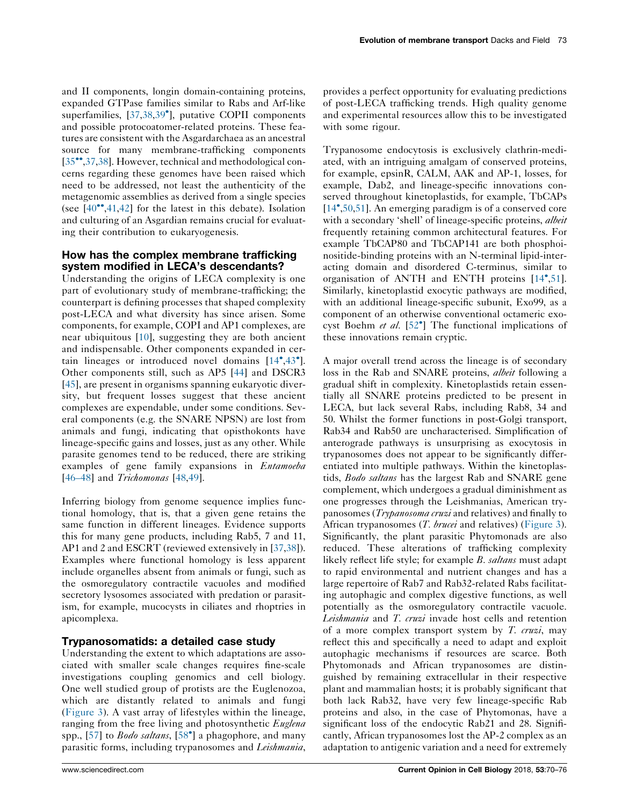and II components, longin domain-containing proteins, expanded GTPase families similar to Rabs and Arf-like superfamilies, [[37,38](#page-6-0),39 ], putative COPII [components](#page-6-0) and possible protocoatomer-related proteins. These features are consistent with the Asgardarchaea as an ancestral source for many membrane-trafficking components [\[35](#page-6-0)<sup>\*\*</sup>[,37](#page-6-0),[38\]](#page-6-0). However, technical and methodological concerns regarding these genomes have been raised which need to be addressed, not least the authenticity of the metagenomic assemblies as derived from a single species (see  $[40^{\bullet\bullet}, 41, 42]$  $[40^{\bullet\bullet}, 41, 42]$  $[40^{\bullet\bullet}, 41, 42]$  for the latest in this debate). Isolation and culturing of an Asgardian remains crucial for evaluating their contribution to eukaryogenesis.

## How has the complex membrane trafficking system modified in LECA's descendants?

Understanding the origins of LECA complexity is one part of evolutionary study of membrane-trafficking; the counterpart is defining processes that shaped complexity post-LECA and what diversity has since arisen. Some components, for example, COPI and AP1 complexes, are near ubiquitous [[10\]](#page-5-0), suggesting they are both ancient and indispensable. Other components expanded in cer-tain lineages or introduced novel domains [\[14](#page-5-0)°[,43](#page-6-0)°]. Other components still, such as AP5 [\[44\]](#page-6-0) and DSCR3 [\[45](#page-6-0)], are present in organisms spanning eukaryotic diversity, but frequent losses suggest that these ancient complexes are expendable, under some conditions. Several components (e.g. the SNARE NPSN) are lost from animals and fungi, indicating that opisthokonts have lineage-specific gains and losses, just as any other. While parasite genomes tend to be reduced, there are striking examples of gene family expansions in Entamoeba [\[46–48\]](#page-6-0) and *Trichomonas* [\[48](#page-6-0),[49\]](#page-6-0).

Inferring biology from genome sequence implies functional homology, that is, that a given gene retains the same function in different lineages. Evidence supports this for many gene products, including Rab5, 7 and 11, AP1 and 2 and ESCRT (reviewed extensively in [[37,38](#page-6-0)]). Examples where functional homology is less apparent include organelles absent from animals or fungi, such as the osmoregulatory contractile vacuoles and modified secretory lysosomes associated with predation or parasitism, for example, mucocysts in ciliates and rhoptries in apicomplexa.

## Trypanosomatids: a detailed case study

Understanding the extent to which adaptations are associated with smaller scale changes requires fine-scale investigations coupling genomics and cell biology. One well studied group of protists are the Euglenozoa, which are distantly related to animals and fungi [\(Figure](#page-4-0) 3). A vast array of lifestyles within the lineage, ranging from the free living and photosynthetic *Euglena* spp., [\[57\]](#page-6-0) to *Bodo saltans*, [58<sup>°</sup>] a [phagophore,](#page-6-0) and many parasitic forms, including trypanosomes and *Leishmania*,

provides a perfect opportunity for evaluating predictions of post-LECA trafficking trends. High quality genome and experimental resources allow this to be investigated with some rigour.

Trypanosome endocytosis is exclusively clathrin-mediated, with an intriguing amalgam of conserved proteins, for example, epsinR, CALM, AAK and AP-1, losses, for example, Dab2, and lineage-specific innovations conserved throughout kinetoplastids, for example, TbCAPs [[14](#page-5-0) ,[50,51](#page-6-0)]. An emerging paradigm is of a conserved core with a secondary 'shell' of lineage-specific proteins, *albeit* frequently retaining common architectural features. For example TbCAP80 and TbCAP141 are both phosphoinositide-binding proteins with an N-terminal lipid-interacting domain and disordered C-terminus, similar to organisation of ANTH and ENTH proteins [\[14](#page-5-0)°,[51\]](#page-6-0). Similarly, kinetoplastid exocytic pathways are modified, with an additional lineage-specific subunit, Exo99, as a component of an otherwise conventional octameric exocyst Boehm et al. [52<sup>\*</sup>] The functional [implications](#page-6-0) of these innovations remain cryptic.

A major overall trend across the lineage is of secondary loss in the Rab and SNARE proteins, *albeit* following a gradual shift in complexity. Kinetoplastids retain essentially all SNARE proteins predicted to be present in LECA, but lack several Rabs, including Rab8, 34 and 50. Whilst the former functions in post-Golgi transport, Rab34 and Rab50 are uncharacterised. Simplification of anterograde pathways is unsurprising as exocytosis in trypanosomes does not appear to be significantly differentiated into multiple pathways. Within the kinetoplastids, *Bodo saltans* has the largest Rab and SNARE gene complement, which undergoes a gradual diminishment as one progresses through the Leishmanias, American trypanosomes (*Trypanosoma cruzi* and relatives) and finally to African trypanosomes (T. brucei and relatives) [\(Figure](#page-4-0) 3). Significantly, the plant parasitic Phytomonads are also reduced. These alterations of trafficking complexity likely reflect life style; for example *B. saltans* must adapt to rapid environmental and nutrient changes and has a large repertoire of Rab7 and Rab32-related Rabs facilitating autophagic and complex digestive functions, as well potentially as the osmoregulatory contractile vacuole. Leishmania and T. cruzi invade host cells and retention of a more complex transport system by T. cruzi, may reflect this and specifically a need to adapt and exploit autophagic mechanisms if resources are scarce. Both Phytomonads and African trypanosomes are distinguished by remaining extracellular in their respective plant and mammalian hosts; it is probably significant that both lack Rab32, have very few lineage-specific Rab proteins and also, in the case of Phytomonas, have a significant loss of the endocytic Rab21 and 28. Significantly, African trypanosomes lost the AP-2 complex as an adaptation to antigenic variation and a need for extremely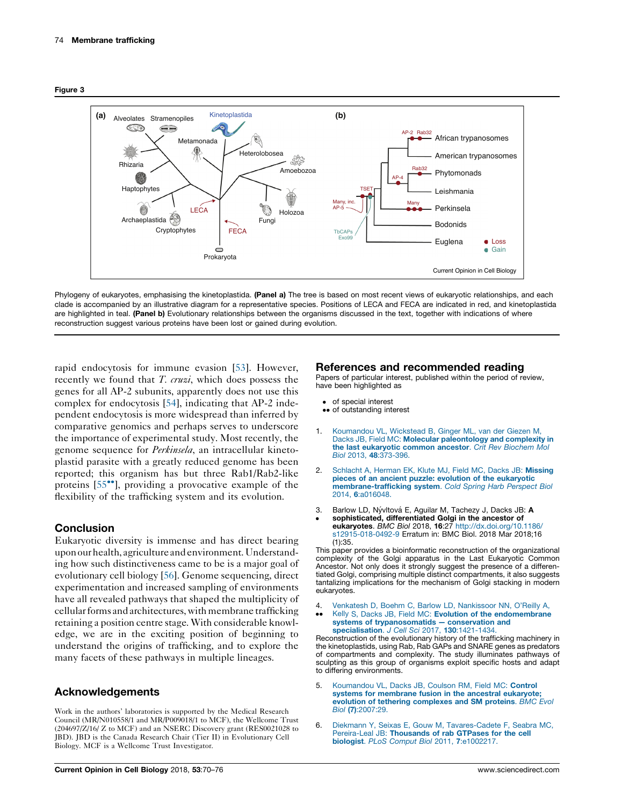<span id="page-4-0"></span>



Phylogeny of eukaryotes, emphasising the kinetoplastida. (Panel a) The tree is based on most recent views of eukaryotic relationships, and each clade is accompanied by an illustrative diagram for a representative species. Positions of LECA and FECA are indicated in red, and kinetoplastida are highlighted in teal. (Panel b) Evolutionary relationships between the organisms discussed in the text, together with indications of where reconstruction suggest various proteins have been lost or gained during evolution.

rapid endocytosis for immune evasion [[53\]](#page-6-0). However, recently we found that T. cruzi, which does possess the genes for all AP-2 subunits, apparently does not use this complex for endocytosis [[54\]](#page-6-0), indicating that AP-2 independent endocytosis is more widespread than inferred by comparative genomics and perhaps serves to underscore the importance of experimental study. Most recently, the genome sequence for Perkinsela, an intracellular kinetoplastid parasite with a greatly reduced genome has been reported; this organism has but three Rab1/Rab2-like proteins  $[55$ <sup> $\bullet$ </sup>, providing a [provocative](#page-6-0) example of the flexibility of the trafficking system and its evolution.

#### **Conclusion**

Eukaryotic diversity is immense and has direct bearing upon our health, agriculture and environment.Understanding how such distinctiveness came to be is a major goal of evolutionary cell biology [\[56](#page-6-0)]. Genome sequencing, direct experimentation and increased sampling of environments have all revealed pathways that shaped the multiplicity of cellular forms and architectures, with membrane trafficking retaining a position centre stage. With considerable knowledge, we are in the exciting position of beginning to understand the origins of trafficking, and to explore the many facets of these pathways in multiple lineages.

## Acknowledgements

Work in the authors' laboratories is supported by the Medical Research Council (MR/N010558/1 and MR/P009018/1 to MCF), the Wellcome Trust (204697/Z/16/ Z to MCF) and an NSERC Discovery grant (RES0021028 to JBD). JBD is the Canada Research Chair (Tier II) in Evolutionary Cell Biology. MCF is a Wellcome Trust Investigator.

#### References and recommended reading

Papers of particular interest, published within the period of review, have been highlighted as

- of special interest
- •• of outstanding interest
- 1. [Koumandou](http://refhub.elsevier.com/S0955-0674(18)30009-7/sbref0005) VL, Wickstead B, Ginger ML, van der Giezen M, Dacks JB, Field MC: Molecular [paleontology](http://refhub.elsevier.com/S0955-0674(18)30009-7/sbref0005) and complexity in the last [eukaryotic](http://refhub.elsevier.com/S0955-0674(18)30009-7/sbref0005) common ancestor. Crit Rev Biochem Mol Biol 2013, 48[:373-396.](http://refhub.elsevier.com/S0955-0674(18)30009-7/sbref0005)
- 2. [Schlacht](http://refhub.elsevier.com/S0955-0674(18)30009-7/sbref0010) A, Herman EK, Klute MJ, Field MC, Dacks JB: Missing pieces of an ancient puzzle: evolution of the [eukaryotic](http://refhub.elsevier.com/S0955-0674(18)30009-7/sbref0010) [membrane-trafficking](http://refhub.elsevier.com/S0955-0674(18)30009-7/sbref0010) system. Cold Spring Harb Perspect Biol 2014, 6[:a016048.](http://refhub.elsevier.com/S0955-0674(18)30009-7/sbref0010)
- 3. Barlow LD, Nývltová E, Aguilar M, Tachezy J, Dacks JB: A
- $\cdot$ sophisticated, differentiated Golgi in the ancestor of eukaryotes. BMC Biol 2018, 16:27 [http://dx.doi.org/10.1186/](http://dx.doi.org/10.1186/s12915-018-0492-9) [s12915-018-0492-9](http://dx.doi.org/10.1186/s12915-018-0492-9) Erratum in: BMC Biol. 2018 Mar 2018;16 (1):35.

This paper provides a bioinformatic reconstruction of the organizational complexity of the Golgi apparatus in the Last Eukaryotic Common Ancestor. Not only does it strongly suggest the presence of a differentiated Golgi, comprising multiple distinct compartments, it also suggests tantalizing implications for the mechanism of Golgi stacking in modern eukaryotes.

4.  $\ddot{\phantom{0}}$ Venkatesh D, Boehm C, Barlow LD, [Nankissoor](http://refhub.elsevier.com/S0955-0674(18)30009-7/sbref0020) NN, O'Reilly A, Kelly S, Dacks JB, Field MC: Evolution of the [endomembrane](http://refhub.elsevier.com/S0955-0674(18)30009-7/sbref0020) systems of [trypanosomatids](http://refhub.elsevier.com/S0955-0674(18)30009-7/sbref0020) — conservation and [specialisation](http://refhub.elsevier.com/S0955-0674(18)30009-7/sbref0020). J Cell Sci 2017, **130**:1421-1434

Reconstruction of the evolutionary history of the trafficking machinery in the kinetoplastids, using Rab, Rab GAPs and SNARE genes as predators of compartments and complexity. The study illuminates pathways of sculpting as this group of organisms exploit specific hosts and adapt to differing environments.

- 5. [Koumandou](http://refhub.elsevier.com/S0955-0674(18)30009-7/sbref0025) VL, Dacks JB, Coulson RM, Field MC: Control systems for [membrane](http://refhub.elsevier.com/S0955-0674(18)30009-7/sbref0025) fusion in the ancestral eukaryote; evolution of tethering [complexes](http://refhub.elsevier.com/S0955-0674(18)30009-7/sbref0025) and SM proteins. BMC Evol Biol (7)[:2007:29.](http://refhub.elsevier.com/S0955-0674(18)30009-7/sbref0025)
- 6. Diekmann Y, Seixas E, Gouw M, [Tavares-Cadete](http://refhub.elsevier.com/S0955-0674(18)30009-7/sbref0030) F, Seabra MC, [Pereira-Leal](http://refhub.elsevier.com/S0955-0674(18)30009-7/sbref0030) JB: Thousands of rab GTPases for the cell biologist. PLoS Comput Biol 2011, 7[:e1002217.](http://refhub.elsevier.com/S0955-0674(18)30009-7/sbref0030)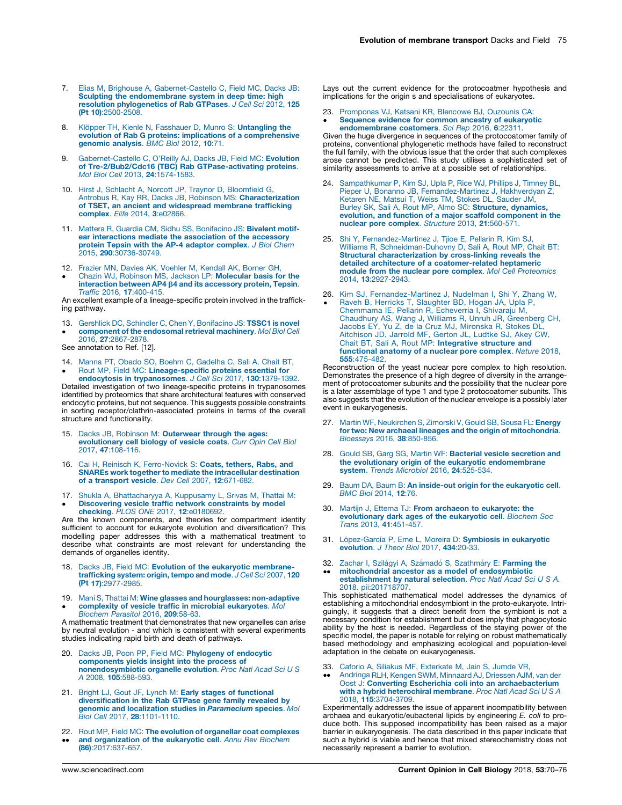- <span id="page-5-0"></span>7. Elias M, Brighouse A, [Gabernet-Castello](http://refhub.elsevier.com/S0955-0674(18)30009-7/sbref0035) C, Field MC, Dacks JB: Sculpting the [endomembrane](http://refhub.elsevier.com/S0955-0674(18)30009-7/sbref0035) system in deep time: high resolution [phylogenetics](http://refhub.elsevier.com/S0955-0674(18)30009-7/sbref0035) of Rab GTPases. J Cell Sci 2012, 125 (Pt 10)[:2500-2508.](http://refhub.elsevier.com/S0955-0674(18)30009-7/sbref0035)
- Klöpper TH, Kienle N, Fasshauer D, Munro S: [Untangling](http://refhub.elsevier.com/S0955-0674(18)30009-7/sbref0040) the evolution of Rab G proteins: implications of a [comprehensive](http://refhub.elsevier.com/S0955-0674(18)30009-7/sbref0040) [genomic](http://refhub.elsevier.com/S0955-0674(18)30009-7/sbref0040) analysis. BMC Biol 2012, 10:71.
- 9. [Gabernet-Castello](http://refhub.elsevier.com/S0955-0674(18)30009-7/sbref0045) C, O'Reilly AJ, Dacks JB, Field MC: Evolution **of Tre-2/Bub2/Cdc16 (TBC) Rab [GTPase-activating](http://refhub.elsevier.com/S0955-0674(18)30009-7/sbref0045) proteins.**<br>Mol Biol Cell 2013, **24**[:1574-1583.](http://refhub.elsevier.com/S0955-0674(18)30009-7/sbref0045)
- 10. Hirst J, Schlacht A, Norcott JP, Traynor D, [Bloomfield](http://refhub.elsevier.com/S0955-0674(18)30009-7/sbref0050) G, Antrobus R, Kay RR, Dacks JB, Robinson MS: [Characterization](http://refhub.elsevier.com/S0955-0674(18)30009-7/sbref0050) of TSET, an ancient and [widespread](http://refhub.elsevier.com/S0955-0674(18)30009-7/sbref0050) membrane trafficking [complex](http://refhub.elsevier.com/S0955-0674(18)30009-7/sbref0050). Elife 2014, 3:e02866.
- 11. Mattera R, Guardia CM, Sidhu SS, [Bonifacino](http://refhub.elsevier.com/S0955-0674(18)30009-7/sbref0055) JS: Bivalent motifear [interactions](http://refhub.elsevier.com/S0955-0674(18)30009-7/sbref0055) mediate the association of the accessory protein Tepsin with the AP-4 adaptor [complex](http://refhub.elsevier.com/S0955-0674(18)30009-7/sbref0055). J Biol Chem 2015, 290[:30736-30749.](http://refhub.elsevier.com/S0955-0674(18)30009-7/sbref0055)
- 12.
- $\bullet$ Frazier MN, Davies AK, [Voehler](http://refhub.elsevier.com/S0955-0674(18)30009-7/sbref0060) M, Kendall AK, Borner GH,<br>Chazin WJ, Robinson MS, Jackson LP: **[Molecular](http://refhub.elsevier.com/S0955-0674(18)30009-7/sbref0060) basis for the** [interaction](http://refhub.elsevier.com/S0955-0674(18)30009-7/sbref0060) between AP4  $\beta$ 4 and its accessory protein, Tepsin. Traffic 2016, 17[:400-415.](http://refhub.elsevier.com/S0955-0674(18)30009-7/sbref0060)

An excellent example of a lineage-specific protein involved in the trafficking pathway.

- 13. Gershlick DC, Schindler C, Chen Y, [Bonifacino](http://refhub.elsevier.com/S0955-0674(18)30009-7/sbref0065) JS: TSSC1 is novel  $\bullet$ [component](http://refhub.elsevier.com/S0955-0674(18)30009-7/sbref0065) of the endosomal retrieval machinery. Mol Biol Cell 2016, 27[:2867-2878.](http://refhub.elsevier.com/S0955-0674(18)30009-7/sbref0065)
- See annotation to Ref. [12].
- 14. Manna PT, Obado SO, Boehm C, [Gadelha](http://refhub.elsevier.com/S0955-0674(18)30009-7/sbref0070) C, Sali A, Chait BT,  $\bullet$ Rout MP, Field MC: **[Lineage-specific](http://refhub.elsevier.com/S0955-0674(18)30009-7/sbref0070) proteins essential for**<br>**endocytosis in [trypanosomes](http://refhub.elsevier.com/S0955-0674(18)30009-7/sbref0070)**. J Cell Sci 2017, **130**:1379-1392.

Detailed investigation of two lineage-specific proteins in trypanosomes identified by proteomics that share architectural features with conserved endocytic proteins, but not sequence. This suggests possible constraints in sorting receptor/clathrin-associated proteins in terms of the overall structure and functionality.

- 15. Dacks JB, Robinson M: [Outerwear](http://refhub.elsevier.com/S0955-0674(18)30009-7/sbref0075) through the ages: [evolutionary](http://refhub.elsevier.com/S0955-0674(18)30009-7/sbref0075) cell biology of vesicle coats. Curr Opin Cell Biol 2017, 47[:108-116.](http://refhub.elsevier.com/S0955-0674(18)30009-7/sbref0075)
- 16. Cai H, Reinisch K, [Ferro-Novick](http://refhub.elsevier.com/S0955-0674(18)30009-7/sbref0080) S: Coats, tethers, Rabs, and SNAREs work together to mediate the [intracellular](http://refhub.elsevier.com/S0955-0674(18)30009-7/sbref0080) destination of a [transport](http://refhub.elsevier.com/S0955-0674(18)30009-7/sbref0080) vesicle. Dev Cell 2007, 12:671-682.
- 17.  $\bullet$ Shukla A, [Bhattacharyya](http://refhub.elsevier.com/S0955-0674(18)30009-7/sbref0085) A, Kuppusamy L, Srivas M, Thattai M:<br>**[Discovering](http://refhub.elsevier.com/S0955-0674(18)30009-7/sbref0085) vesicle traffic network constraints by model** checking. PLOS ONE 2017, 12[:e0180692.](http://refhub.elsevier.com/S0955-0674(18)30009-7/sbref0085)

Are the known components, and theories for compartment identity sufficient to account for eukaryote evolution and diversification? This modelling paper addresses this with a mathematical treatment to describe what constraints are most relevant for understanding the demands of organelles identity.

- 18. Dacks JB, Field MC: Evolution of the eukaryotic [membrane](http://refhub.elsevier.com/S0955-0674(18)30009-7/sbref0090)[trafficking](http://refhub.elsevier.com/S0955-0674(18)30009-7/sbref0090) system: origin, tempo and mode. J Cell Sci 2007, 120 (Pt 17)[:2977-2985.](http://refhub.elsevier.com/S0955-0674(18)30009-7/sbref0090)
- 19. Mani S, Thattai M: Wine glasses and hourglasses: [non-adaptive](http://refhub.elsevier.com/S0955-0674(18)30009-7/sbref0095)  $\bullet$ complexity of vesicle traffic in microbial [eukaryotes](http://refhub.elsevier.com/S0955-0674(18)30009-7/sbref0095). Mol [Biochem](http://refhub.elsevier.com/S0955-0674(18)30009-7/sbref0095) Parasitol 2016, 209:58-63.

A mathematic treatment that demonstrates that new organelles can arise by neutral evolution - and which is consistent with several experiments studies indicating rapid birth and death of pathways.

- 20. Dacks JB, Poon PP, Field MC: [Phylogeny](http://refhub.elsevier.com/S0955-0674(18)30009-7/sbref0100) of endocytic [components](http://refhub.elsevier.com/S0955-0674(18)30009-7/sbref0100) yields insight into the process of [nonendosymbiotic](http://refhub.elsevier.com/S0955-0674(18)30009-7/sbref0100) organelle evolution. Proc Natl Acad Sci U S A 2008, 105[:588-593.](http://refhub.elsevier.com/S0955-0674(18)30009-7/sbref0100)
- 21. Bright LJ, Gout JF, Lynch M: Early stages of [functional](http://refhub.elsevier.com/S0955-0674(18)30009-7/sbref0105) [diversification](http://refhub.elsevier.com/S0955-0674(18)30009-7/sbref0105) in the Rab GTPase gene family revealed by genomic and localization studies in [Paramecium](http://refhub.elsevier.com/S0955-0674(18)30009-7/sbref0105) species. Mol Biol Cell 2017, 28[:1101-1110.](http://refhub.elsevier.com/S0955-0674(18)30009-7/sbref0105)
- 22. Rout MP, Field MC: The evolution of organellar coat [complexes](http://refhub.elsevier.com/S0955-0674(18)30009-7/sbref0110)  $\bullet$ and [organization](http://refhub.elsevier.com/S0955-0674(18)30009-7/sbref0110) of the eukaryotic cell. Annu Rev Biochem (86)[:2017:637-657.](http://refhub.elsevier.com/S0955-0674(18)30009-7/sbref0110)

Lays out the current evidence for the protocoatmer hypothesis and implications for the origin s and specialisations of eukaryotes.

- 23. [Promponas](http://refhub.elsevier.com/S0955-0674(18)30009-7/sbref0115) VJ, Katsani KR, Blencowe BJ, Ouzounis CA:
- $\bullet$ Sequence evidence for common ancestry of [eukaryotic](http://refhub.elsevier.com/S0955-0674(18)30009-7/sbref0115) [endomembrane](http://refhub.elsevier.com/S0955-0674(18)30009-7/sbref0115) coatomers. Sci Rep 2016, 6:22311.

Given the huge divergence in sequences of the protocoatomer family of proteins, conventional phylogenetic methods have failed to reconstruct the full family, with the obvious issue that the order that such complexes arose cannot be predicted. This study utilises a sophisticated set of similarity assessments to arrive at a possible set of relationships.

- 24. [Sampathkumar](http://refhub.elsevier.com/S0955-0674(18)30009-7/sbref0120) P, Kim SJ, Upla P, Rice WJ, Phillips J, Timney BL, Pieper U, Bonanno JB, [Fernandez-Martinez](http://refhub.elsevier.com/S0955-0674(18)30009-7/sbref0120) J, Hakhverdyan Z, [Ketaren](http://refhub.elsevier.com/S0955-0674(18)30009-7/sbref0120) NE, Matsui T, Weiss TM, Stokes DL, Sauder JM, Burley SK, Sali A, Rout MP, Almo SC: Structure, dynamics evolution, and function of a major scaffold [component](http://refhub.elsevier.com/S0955-0674(18)30009-7/sbref0120) in the nuclear pore complex. Structure 2013, 21[:560-571.](http://refhub.elsevier.com/S0955-0674(18)30009-7/sbref0120)
- 25. Shi Y, [Fernandez-Martinez](http://refhub.elsevier.com/S0955-0674(18)30009-7/sbref0125) J, Tjioe E, Pellarin R, Kim SJ, Williams R, [Schneidman-Duhovny](http://refhub.elsevier.com/S0955-0674(18)30009-7/sbref0125) D, Sali A, Rout MP, Chait BT: Structural [characterization](http://refhub.elsevier.com/S0955-0674(18)30009-7/sbref0125) by cross-linking reveals the detailed architecture of a [coatomer-related](http://refhub.elsevier.com/S0955-0674(18)30009-7/sbref0125) heptameric module from the nuclear pore complex. Mol Cell [Proteomics](http://refhub.elsevier.com/S0955-0674(18)30009-7/sbref0125) 2014, 13[:2927-2943.](http://refhub.elsevier.com/S0955-0674(18)30009-7/sbref0125)
- 26. Kim SJ, [Fernandez-Martinez](http://refhub.elsevier.com/S0955-0674(18)30009-7/sbref0130) J, Nudelman I, Shi Y, Zhang W,
- $\bullet$ Raveh B, Herricks T, [Slaughter](http://refhub.elsevier.com/S0955-0674(18)30009-7/sbref0130) BD, Hogan JA, Upla P, [Chemmama](http://refhub.elsevier.com/S0955-0674(18)30009-7/sbref0130) IE, Pellarin R, Echeverria I, Shivaraju M, [Chaudhury](http://refhub.elsevier.com/S0955-0674(18)30009-7/sbref0130) AS, Wang J, Williams R, Unruh JR, Greenberg CH, Jacobs EY, Yu Z, de la Cruz MJ, [Mironska](http://refhub.elsevier.com/S0955-0674(18)30009-7/sbref0130) R, Stokes DL, [Aitchison](http://refhub.elsevier.com/S0955-0674(18)30009-7/sbref0130) JD, Jarrold MF, Gerton JL, Ludtke SJ, Akey CW, Chait BT, Sali A, Rout MP: [Integrative](http://refhub.elsevier.com/S0955-0674(18)30009-7/sbref0130) structure and [functional](http://refhub.elsevier.com/S0955-0674(18)30009-7/sbref0130) anatomy of a nuclear pore complex. Nature 2018, 555[:475-482.](http://refhub.elsevier.com/S0955-0674(18)30009-7/sbref0130)

Reconstruction of the yeast nuclear pore complex to high resolution. Demonstrates the presence of a high degree of diversity in the arrangement of protocoatomer subunits and the possibility that the nuclear pore is a later assemblage of type 1 and type 2 protocoatomer subunits. This also suggests that the evolution of the nuclear envelope is a possibly later event in eukaryogenesis.

- 27. Martin WF, [Neukirchen](http://refhub.elsevier.com/S0955-0674(18)30009-7/sbref0135) S, Zimorski V, Gould SB, Sousa FL: Energy for two: New archaeal lineages and the origin of [mitochondria](http://refhub.elsevier.com/S0955-0674(18)30009-7/sbref0135). [Bioessays](http://refhub.elsevier.com/S0955-0674(18)30009-7/sbref0135) 2016, 38:850-856.
- 28. Gould SB, Garg SG, Martin WF: Bacterial vesicle [secretion](http://refhub.elsevier.com/S0955-0674(18)30009-7/sbref0140) and the evolutionary origin of the eukaryotic [endomembrane](http://refhub.elsevier.com/S0955-0674(18)30009-7/sbref0140) system. Trends Microbiol 2016, 24[:525-534.](http://refhub.elsevier.com/S0955-0674(18)30009-7/sbref0140)
- 29. Baum DA, Baum B: An inside-out origin for the [eukaryotic](http://refhub.elsevier.com/S0955-0674(18)30009-7/sbref0145) cell. BMC Biol [2014,](http://refhub.elsevier.com/S0955-0674(18)30009-7/sbref0145) 12:76.
- 30. Martijn J, Ettema TJ: From archaeon to [eukaryote:](http://refhub.elsevier.com/S0955-0674(18)30009-7/sbref0150) the [evolutionary](http://refhub.elsevier.com/S0955-0674(18)30009-7/sbref0150) dark ages of the eukaryotic cell. Biochem Soc Trans 2013, 41[:451-457.](http://refhub.elsevier.com/S0955-0674(18)30009-7/sbref0150)
- 31. López-García P, Eme L, Moreira D: Symbiosis in [eukaryotic](http://refhub.elsevier.com/S0955-0674(18)30009-7/sbref0155) [evolution](http://refhub.elsevier.com/S0955-0674(18)30009-7/sbref0155). J Theor Biol 2017, 434:20-33.
- 32. Zachar I, Szilágyi A, Számadó S, Szathmáry E: Farming the  $\ddot{\phantom{0}}$ mitochondrial ancestor as a model of [endosymbiotic](http://refhub.elsevier.com/S0955-0674(18)30009-7/sbref0160) [establishment](http://refhub.elsevier.com/S0955-0674(18)30009-7/sbref0160) by natural selection. Proc Natl Acad Sci U S A. 2018. [pii:201718707.](http://refhub.elsevier.com/S0955-0674(18)30009-7/sbref0160)

This sophisticated mathematical model addresses the dynamics of establishing a mitochondrial endosymbiont in the proto-eukaryote. Intriguingly, it suggests that a direct benefit from the symbiont is not a necessary condition for establishment but does imply that phagocytosic ability by the host is needed. Regardless of the staying power of the specific model, the paper is notable for relying on robust mathematically based methodology and emphasizing ecological and population-level adaptation in the debate on eukaryogenesis.

- 33. Caforio A, Siliakus MF, [Exterkate](http://refhub.elsevier.com/S0955-0674(18)30009-7/sbref0165) M, Jain S, Jumde VR,
- $\bullet$ Andringa RLH, Kengen SWM, [Minnaard](http://refhub.elsevier.com/S0955-0674(18)30009-7/sbref0165) AJ, Driessen AJM, van der Oost J: Converting Escherichia coli into an [archaebacterium](http://refhub.elsevier.com/S0955-0674(18)30009-7/sbref0165) with a hybrid [heterochiral](http://refhub.elsevier.com/S0955-0674(18)30009-7/sbref0165) membrane. Proc Natl Acad Sci U S A 2018, 115[:3704-3709.](http://refhub.elsevier.com/S0955-0674(18)30009-7/sbref0165)

Experimentally addresses the issue of apparent incompatibility between archaea and eukaryotic/eubacterial lipids by engineering E. coli to produce both. This supposed incompatibility has been raised as a major barrier in eukaryogenesis. The data described in this paper indicate that such a hybrid is viable and hence that mixed stereochemistry does not necessarily represent a barrier to evolution.